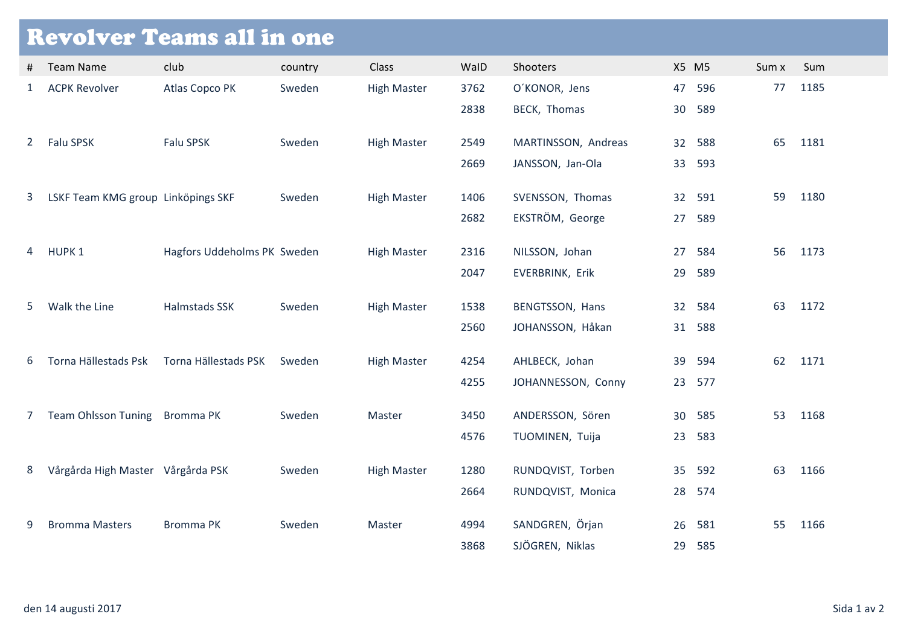| <b>Revolver Teams all in one</b> |                                    |                             |         |                    |      |                     |                 |     |       |      |  |  |
|----------------------------------|------------------------------------|-----------------------------|---------|--------------------|------|---------------------|-----------------|-----|-------|------|--|--|
| #                                | <b>Team Name</b>                   | club                        | country | Class              | WalD | Shooters            | X5 M5           |     | Sum x | Sum  |  |  |
| 1                                | <b>ACPK Revolver</b>               | Atlas Copco PK              | Sweden  | <b>High Master</b> | 3762 | O'KONOR, Jens       | 47              | 596 | 77    | 1185 |  |  |
|                                  |                                    |                             |         |                    | 2838 | BECK, Thomas        | 30              | 589 |       |      |  |  |
| 2                                | Falu SPSK                          | Falu SPSK                   | Sweden  | <b>High Master</b> | 2549 | MARTINSSON, Andreas | 32 <sup>2</sup> | 588 | 65    | 1181 |  |  |
|                                  |                                    |                             |         |                    | 2669 | JANSSON, Jan-Ola    | 33              | 593 |       |      |  |  |
| 3                                | LSKF Team KMG group Linköpings SKF |                             | Sweden  | <b>High Master</b> | 1406 | SVENSSON, Thomas    | 32 <sup>2</sup> | 591 | 59    | 1180 |  |  |
|                                  |                                    |                             |         |                    | 2682 | EKSTRÖM, George     | 27              | 589 |       |      |  |  |
| 4                                | HUPK <sub>1</sub>                  | Hagfors Uddeholms PK Sweden |         | <b>High Master</b> | 2316 | NILSSON, Johan      | 27              | 584 | 56    | 1173 |  |  |
|                                  |                                    |                             |         |                    | 2047 | EVERBRINK, Erik     | 29              | 589 |       |      |  |  |
| 5                                | Walk the Line                      | Halmstads SSK               | Sweden  | <b>High Master</b> | 1538 | BENGTSSON, Hans     | 32 <sup>2</sup> | 584 | 63    | 1172 |  |  |
|                                  |                                    |                             |         |                    | 2560 | JOHANSSON, Håkan    | 31              | 588 |       |      |  |  |
| 6                                | Torna Hällestads Psk               | Torna Hällestads PSK        | Sweden  | <b>High Master</b> | 4254 | AHLBECK, Johan      | 39              | 594 | 62    | 1171 |  |  |
|                                  |                                    |                             |         |                    | 4255 | JOHANNESSON, Conny  | 23              | 577 |       |      |  |  |
| 7 <sup>7</sup>                   | <b>Team Ohlsson Tuning</b>         | <b>Bromma PK</b>            | Sweden  | Master             | 3450 | ANDERSSON, Sören    | 30              | 585 | 53    | 1168 |  |  |
|                                  |                                    |                             |         |                    | 4576 | TUOMINEN, Tuija     | 23              | 583 |       |      |  |  |
| 8                                | Vårgårda High Master Vårgårda PSK  |                             | Sweden  | <b>High Master</b> | 1280 | RUNDQVIST, Torben   | 35              | 592 | 63    | 1166 |  |  |
|                                  |                                    |                             |         |                    | 2664 | RUNDQVIST, Monica   | 28              | 574 |       |      |  |  |
| 9                                | <b>Bromma Masters</b>              | <b>Bromma PK</b>            | Sweden  | Master             | 4994 | SANDGREN, Örjan     | 26              | 581 | 55    | 1166 |  |  |
|                                  |                                    |                             |         |                    | 3868 | SJÖGREN, Niklas     | 29              | 585 |       |      |  |  |